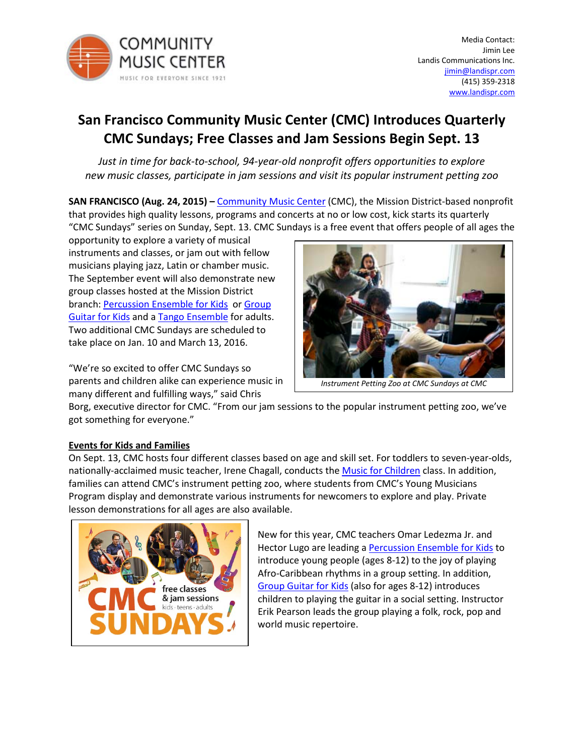

# **San Francisco Community Music Center (CMC) Introduces Quarterly CMC Sundays; Free Classes and Jam Sessions Begin Sept. 13**

*Just in time for back-to-school, 94-year-old nonprofit offers opportunities to explore new music classes, participate in jam sessions and visit its popular instrument petting zoo*

**SAN FRANCISCO (Aug. 24, 2015) –** [Community Music Center](http://www.sfcmc.org/) (CMC), the Mission District-based nonprofit that provides high quality lessons, programs and concerts at no or low cost, kick starts its quarterly "CMC Sundays" series on Sunday, Sept. 13. CMC Sundays is a free event that offers people of all ages the

opportunity to explore a variety of musical instruments and classes, or jam out with fellow musicians playing jazz, Latin or chamber music. The September event will also demonstrate new group classes hosted at the Mission District branch: [Percussion Ensemble for Kids](http://sfcmc.org/classes/classes-for-kids/#pe) or Group [Guitar for Kids](http://sfcmc.org/classes/classes-for-kids/#groupguitar) and a [Tango Ensemble](http://sfcmc.org/classes/ensembles/#tangoensemble) for adults. Two additional CMC Sundays are scheduled to take place on Jan. 10 and March 13, 2016.

"We're so excited to offer CMC Sundays so parents and children alike can experience music in many different and fulfilling ways," said Chris



*Instrument Petting Zoo at CMC Sundays at CMC*

Borg, executive director for CMC. "From our jam sessions to the popular instrument petting zoo, we've got something for everyone."

# **Events for Kids and Families**

On Sept. 13, CMC hosts four different classes based on age and skill set. For toddlers to seven-year-olds, nationally-acclaimed music teacher, Irene Chagall, conducts the **[Music for Children](http://sfcmc.org/classes/classes-for-kids/#mfc)** class. In addition, families can attend CMC's instrument petting zoo, where students from CMC's Young Musicians Program display and demonstrate various instruments for newcomers to explore and play. Private lesson demonstrations for all ages are also available.



New for this year, CMC teachers Omar Ledezma Jr. and Hector Lugo are leading a **Percussion Ensemble for Kids** to introduce young people (ages 8-12) to the joy of playing Afro-Caribbean rhythms in a group setting. In addition, [Group Guitar for Kids](http://sfcmc.org/classes/classes-for-kids/#groupguitar) (also for ages 8-12) introduces children to playing the guitar in a social setting. Instructor Erik Pearson leads the group playing a folk, rock, pop and world music repertoire.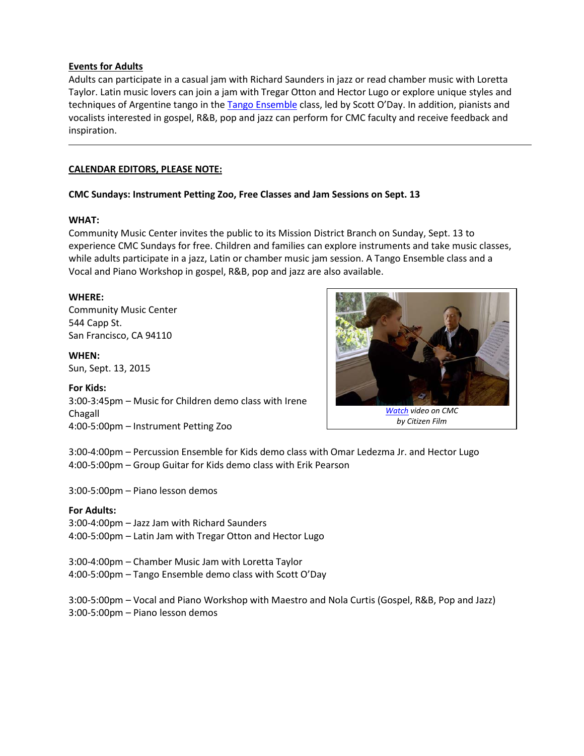#### **Events for Adults**

Adults can participate in a casual jam with Richard Saunders in jazz or read chamber music with Loretta Taylor. Latin music lovers can join a jam with Tregar Otton and Hector Lugo or explore unique styles and techniques of Argentine tango in the [Tango Ensemble](http://sfcmc.org/classes/ensembles/#tangoensemble) class, led by Scott O'Day. In addition, pianists and vocalists interested in gospel, R&B, pop and jazz can perform for CMC faculty and receive feedback and inspiration.

### **CALENDAR EDITORS, PLEASE NOTE:**

#### **CMC Sundays: Instrument Petting Zoo, Free Classes and Jam Sessions on Sept. 13**

#### **WHAT:**

Community Music Center invites the public to its Mission District Branch on Sunday, Sept. 13 to experience CMC Sundays for free. Children and families can explore instruments and take music classes, while adults participate in a jazz, Latin or chamber music jam session. A Tango Ensemble class and a Vocal and Piano Workshop in gospel, R&B, pop and jazz are also available.

#### **WHERE:**

Community Music Center 544 Capp St. San Francisco, CA 94110

#### **WHEN:**

Sun, Sept. 13, 2015

#### **For Kids:**

3:00-3:45pm – Music for Children demo class with Irene Chagall 4:00-5:00pm – Instrument Petting Zoo



3:00-4:00pm – Percussion Ensemble for Kids demo class with Omar Ledezma Jr. and Hector Lugo 4:00-5:00pm – Group Guitar for Kids demo class with Erik Pearson

3:00-5:00pm – Piano lesson demos

# **For Adults:**

3:00-4:00pm – Jazz Jam with Richard Saunders 4:00-5:00pm – Latin Jam with Tregar Otton and Hector Lugo

3:00-4:00pm – Chamber Music Jam with Loretta Taylor

4:00-5:00pm – Tango Ensemble demo class with Scott O'Day

3:00-5:00pm – Vocal and Piano Workshop with Maestro and Nola Curtis (Gospel, R&B, Pop and Jazz) 3:00-5:00pm – Piano lesson demos